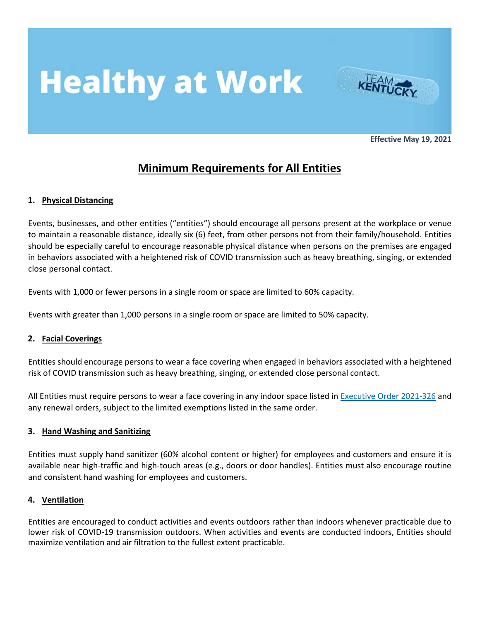# **Healthy at Work**



**Effective May 19, 2021**

### **Minimum Requirements for All Entities**

### **1. Physical Distancing**

Events, businesses, and other entities ("entities") should encourage all persons present at the workplace or venue to maintain a reasonable distance, ideally six (6) feet, from other persons not from their family/household. Entities should be especially careful to encourage reasonable physical distance when persons on the premises are engaged in behaviors associated with a heightened risk of COVID transmission such as heavy breathing, singing, or extended close personal contact.

Events with 1,000 or fewer persons in a single room or space are limited to 60% capacity.

Events with greater than 1,000 persons in a single room or space are limited to 50% capacity.

### **2. Facial Coverings**

Entities should encourage persons to wear a face covering when engaged in behaviors associated with a heightened risk of COVID transmission such as heavy breathing, singing, or extended close personal contact.

All Entities must require persons to wear a face covering in any indoor space listed in Executive [Order 2021-326](https://gscdn.govshare.site/2634ed61c05e5ea22d67142f2163519398a9660e/Executive%20Order%202021-326%20-%20Face%20Coverings%20May%2013.pdf) and any renewal orders, subject to the limited exemptions listed in the same order.

### **3. Hand Washing and Sanitizing**

Entities must supply hand sanitizer (60% alcohol content or higher) for employees and customers and ensure it is available near high-traffic and high-touch areas (e.g., doors or door handles). Entities must also encourage routine and consistent hand washing for employees and customers.

#### **4. Ventilation**

Entities are encouraged to conduct activities and events outdoors rather than indoors whenever practicable due to lower risk of COVID-19 transmission outdoors. When activities and events are conducted indoors, Entities should maximize ventilation and air filtration to the fullest extent practicable.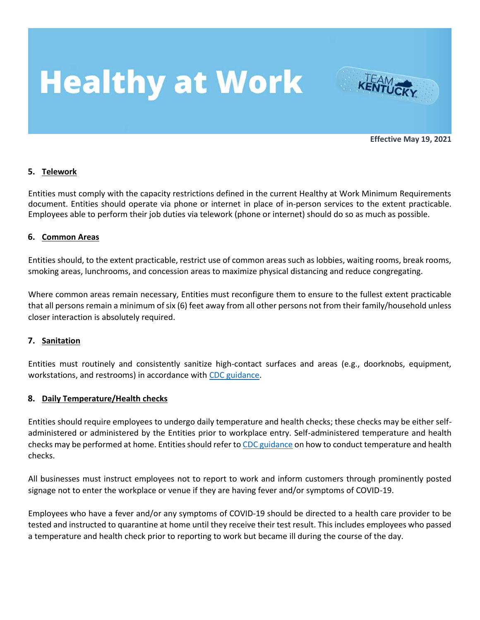# **Healthy at Work**



**Effective May 19, 2021**

#### **5. Telework**

Entities must comply with the capacity restrictions defined in the current Healthy at Work Minimum Requirements document. Entities should operate via phone or internet in place of in-person services to the extent practicable. Employees able to perform their job duties via telework (phone or internet) should do so as much as possible.

#### **6. Common Areas**

Entities should, to the extent practicable, restrict use of common areas such as lobbies, waiting rooms, break rooms, smoking areas, lunchrooms, and concession areas to maximize physical distancing and reduce congregating.

Where common areas remain necessary, Entities must reconfigure them to ensure to the fullest extent practicable that all persons remain a minimum of six (6) feet away from all other persons not from their family/household unless closer interaction is absolutely required.

### **7. Sanitation**

Entities must routinely and consistently sanitize high-contact surfaces and areas (e.g., doorknobs, equipment, workstations, and restrooms) in accordance with [CDC guidance.](https://www.cdc.gov/coronavirus/2019-ncov/community/guidance-business-response.html)

### **8. Daily Temperature/Health checks**

Entities should require employees to undergo daily temperature and health checks; these checks may be either selfadministered or administered by the Entities prior to workplace entry. Self-administered temperature and health checks may be performed at home. Entities should refer t[o CDC guidance](https://www.cdc.gov/coronavirus/2019-ncov/community/guidance-business-response.html) on how to conduct temperature and health checks.

All businesses must instruct employees not to report to work and inform customers through prominently posted signage not to enter the workplace or venue if they are having fever and/or symptoms of COVID-19.

Employees who have a fever and/or any symptoms of COVID-19 should be directed to a health care provider to be tested and instructed to quarantine at home until they receive their test result. This includes employees who passed a temperature and health check prior to reporting to work but became ill during the course of the day.